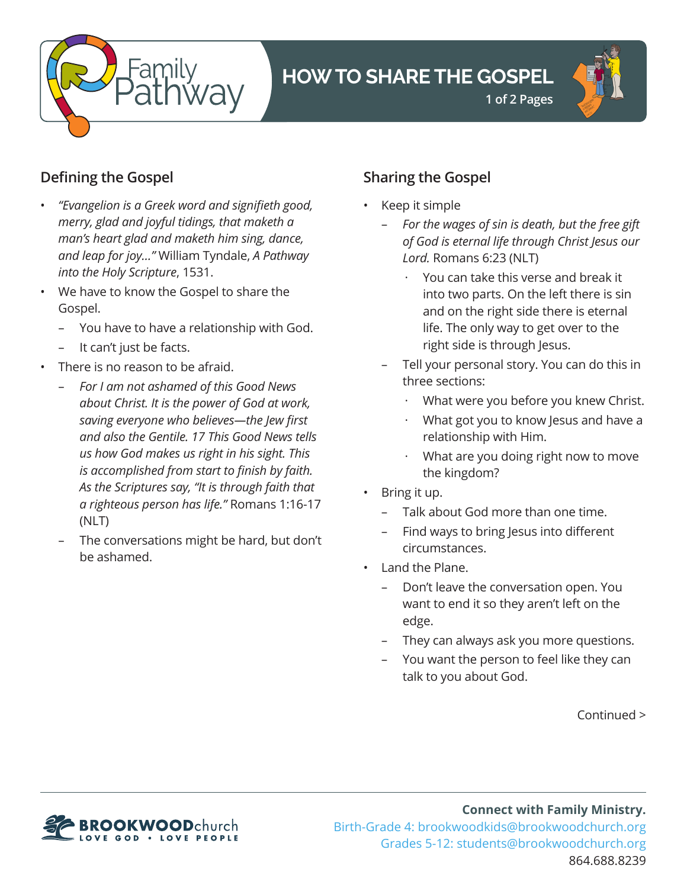

# **HOW TO SHARE THE GOSPEL**



## **Defining the Gospel**

- *"Evangelion is a Greek word and signifieth good, merry, glad and joyful tidings, that maketh a man's heart glad and maketh him sing, dance, and leap for joy…"* William Tyndale, *A Pathway into the Holy Scripture*, 1531.
- We have to know the Gospel to share the Gospel.
	- You have to have a relationship with God.
	- It can't just be facts.
- There is no reason to be afraid.
	- *For I am not ashamed of this Good News about Christ. It is the power of God at work, saving everyone who believes—the Jew first and also the Gentile. 17 This Good News tells us how God makes us right in his sight. This is accomplished from start to finish by faith. As the Scriptures say, "It is through faith that a righteous person has life."* Romans 1:16-17 (NLT)
	- The conversations might be hard, but don't be ashamed.

## **Sharing the Gospel**

- Keep it simple
	- *For the wages of sin is death, but the free gift of God is eternal life through Christ Jesus our Lord.* Romans 6:23 (NLT)
		- · You can take this verse and break it into two parts. On the left there is sin and on the right side there is eternal life. The only way to get over to the right side is through Jesus.
	- Tell your personal story. You can do this in three sections:
		- What were you before you knew Christ.
		- · What got you to know Jesus and have a relationship with Him.
		- · What are you doing right now to move the kingdom?
- Bring it up.
	- Talk about God more than one time.
	- Find ways to bring Jesus into different circumstances.
- Land the Plane.
	- Don't leave the conversation open. You want to end it so they aren't left on the edge.
	- They can always ask you more questions.
	- You want the person to feel like they can talk to you about God.

Continued >